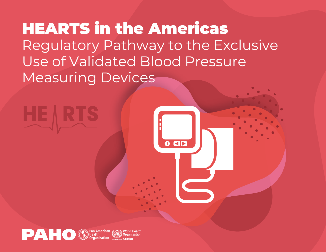HEARTS in the Americas Regulatory Pathway to the Exclusive Use of Validated Blood Pressure Measuring Devices

 $\overline{\textbf{O}}$   $\overline{\textbf{O}}$ 

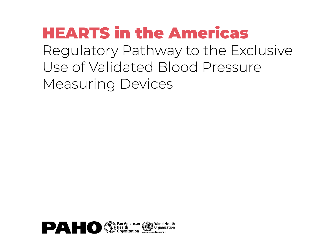HEARTS in the Americas Regulatory Pathway to the Exclusive Use of Validated Blood Pressure Measuring Devices

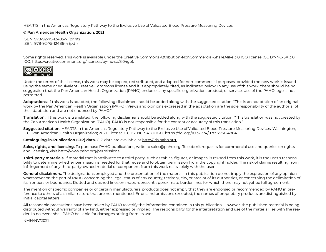HEARTS in the Americas Regulatory Pathway to the Exclusive Use of Validated Blood Pressure Measuring Devices

**© Pan American Health Organization, 2021**

ISBN: 978-92-75-12485-7 (print) ISBN: 978-92-75-12486-4 (pdf)

Some rights reserved. This work is available under the Creative Commons Attribution-NonCommercial-ShareAlike 3.0 IGO license (CC BY-NC-SA 3.0 IGO; https://creativecommons.org/licenses/by-nc-sa/3.0/igo).



Under the terms of this license, this work may be copied, redistributed, and adapted for non-commercial purposes, provided the new work is issued using the same or equivalent Creative Commons license and it is appropriately cited, as indicated below. In any use of this work, there should be no suggestion that the Pan American Health Organization (PAHO) endorses any specific organization, product, or service. Use of the PAHO logo is not permitted.

**Adaptations:** If this work is adapted, the following disclaimer should be added along with the suggested citation: "This is an adaptation of an original work by the Pan American Health Organization (PAHO). Views and opinions expressed in the adaptation are the sole responsibility of the author(s) of the adaptation and are not endorsed by PAHO."

**Translation:** If this work is translated, the following disclaimer should be added along with the suggested citation: "This translation was not created by the Pan American Health Organization (PAHO). PAHO is not responsible for the content or accuracy of this translation."

**Suggested citation.** HEARTS in the Americas Regulatory Pathway to the Exclusive Use of Validated Blood Pressure Measuring Devices. Washington, D.C.: Pan American Health Organization; 2021. License: CC BY-NC-SA 3.0 IGO. https://doi.org/10.37774/9789275124864.

**Cataloguing-in-Publication (CIP) data.** CIP data are available at http://iris.paho.org.

**Sales, rights, and licensing.** To purchase PAHO publications, write to sales@paho.org. To submit requests for commercial use and queries on rights and licensing, visit http://www.paho.org/permissions.

**Third-party materials.** If material that is attributed to a third party, such as tables, figures, or images, is reused from this work, it is the user's responsibility to determine whether permission is needed for that reuse and to obtain permission from the copyright holder. The risk of claims resulting from infringement of any third-party-owned material or component from this work rests solely with the user.

**General disclaimers.** The designations employed and the presentation of the material in this publication do not imply the expression of any opinion whatsoever on the part of PAHO concerning the legal status of any country, territory, city, or area or of its authorities, or concerning the delimitation of its frontiers or boundaries. Dotted and dashed lines on maps represent approximate border lines for which there may not yet be full agreement.

The mention of specific companies or of certain manufacturers' products does not imply that they are endorsed or recommended by PAHO in preference to others of a similar nature that are not mentioned. Errors and omissions excepted, the names of proprietary products are distinguished by initial capital letters.

All reasonable precautions have been taken by PAHO to verify the information contained in this publication. However, the published material is being distributed without warranty of any kind, either expressed or implied. The responsibility for the interpretation and use of the material lies with the reader. In no event shall PAHO be liable for damages arising from its use.

NMH/NV/2021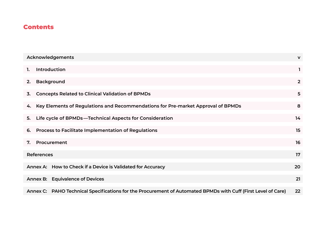## Contents

|    | Acknowledgements                                                                                              | $\mathsf{v}$   |
|----|---------------------------------------------------------------------------------------------------------------|----------------|
| 1. | Introduction                                                                                                  | 1              |
| 2. | <b>Background</b>                                                                                             | $\overline{2}$ |
|    | 3. Concepts Related to Clinical Validation of BPMDs                                                           | 5              |
|    | 4. Key Elements of Regulations and Recommendations for Pre-market Approval of BPMDs                           | 8              |
|    | 5. Life cycle of BPMDs-Technical Aspects for Consideration                                                    | 14             |
|    | 6. Process to Facilitate Implementation of Regulations                                                        | 15             |
| 7. | Procurement                                                                                                   | 16             |
|    | <b>References</b>                                                                                             | 17             |
|    | Annex A: How to Check if a Device is Validated for Accuracy                                                   | 20             |
|    | Annex B: Equivalence of Devices                                                                               | 21             |
|    | Annex C: PAHO Technical Specifications for the Procurement of Automated BPMDs with Cuff (First Level of Care) | 22             |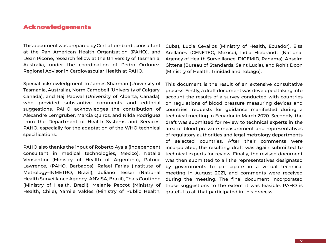## <span id="page-6-0"></span>Acknowledgements

This document was prepared by Cintia Lombardi, consultant at the Pan American Health Organization (PAHO), and Dean Picone, research fellow at the University of Tasmania, Australia, under the coordination of Pedro Ordunez, Regional Advisor in Cardiovascular Health at PAHO.

Special acknowledgment to James Sharman (University of Tasmania, Australia), Norm Campbell (University of Calgary, Canada), and Raj Padwal (University of Alberta, Canada), who provided substantive comments and editorial suggestions. PAHO acknowledges the contribution of Alexandre Lemgruber, Marcia Quiros, and Nilda Rodriguez from the Department of Health Systems and Services, PAHO, especially for the adaptation of the WHO technical specifications.

PAHO also thanks the input of Roberto Ayala (independent consultant in medical technologies, Mexico), Natalia Vensentini (Ministry of Health of Argentina), Patrice Lawrence, (PAHO, Barbados), Rafael Farias (Institute of Metrology–INMETRO, Brazil), Juliano Tesser (National Health Surveillance Agency–ANVISA, Brazil), Thais Coutinho (Ministry of Health, Brazil), Melanie Paccot (Ministry of Health, Chile), Yamile Valdes (Ministry of Public Health,

Cuba), Lucia Cevallos (Ministry of Health, Ecuador), Elsa Arellanes (CENETEC, Mexico), Lidia Hiebrandt (National Agency of Health Surveillance–DIGEMID, Panama), Anselm Gittens (Bureau of Standards, Saint Lucia), and Rohit Doon (Ministry of Health, Trinidad and Tobago).

This document is the result of an extensive consultative process. Firstly, a draft document was developed taking into account the results of a survey conducted with countries on regulations of blood pressure measuring devices and countries' requests for guidance manifested during a technical meeting in Ecuador in March 2020. Secondly, the draft was submitted for review to technical experts in the area of blood pressure measurement and representatives of regulatory authorities and legal metrology departments of selected countries. After their comments were incorporated, the resulting draft was again submitted to technical experts for review. Finally, the revised document was then submitted to all the representatives designated by governments to participate in a virtual technical meeting in August 2021, and comments were received during the meeting. The final document incorporated those suggestions to the extent it was feasible. PAHO is grateful to all that participated in this process.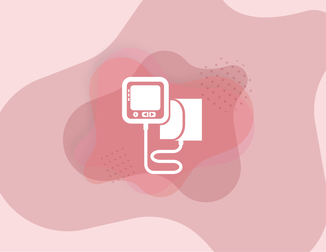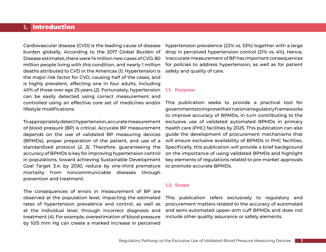## <span id="page-8-0"></span>1. Introduction

Cardiovascular disease (CVD) is the leading cause of disease burden globally. According to the 2017 Global Burden of Disease estimates, there were 14 million new cases of CVD, 80 million people living with this condition, and nearly 1 million deaths attributed to CVD in the Americas (*1*). Hypertension is the major risk factor for CVD, causing half of the cases, and is highly prevalent, affecting one in four adults, including 40% of those over age 25 years (*2*). Fortunately, hypertension can be easily detected using correct measurement and controlled using an effective core set of medicines and/or lifestyle modifications.

To appropriately detect hypertension, accurate measurement of blood pressure (BP) is critical. Accurate BP measurement depends on the use of validated BP measuring devices (BPMDs), proper preparation of the patient, and use of a standardized protocol (*2, 3*). Therefore, guaranteeing the accuracy of BPMDs is key for improving hypertension control in populations, toward achieving Sustainable Development Goal Target 3.4: by 2030, reduce by one-third premature mortality from noncommunicable diseases through prevention and treatment.

The consequences of errors in measurement of BP are observed at the population level, impacting the estimated rates of hypertension prevalence and control, as well as at the individual level, through incorrect diagnosis and treatment (*4*). For example, overestimation of blood pressure by 10/5 mm Hg can create a marked increase in perceived

hypertension prevalence (22% vs. 53%) together with a large drop in perceived hypertension control (21% vs. 4%). Hence, inaccurate measurement of BP has important consequences for policies to address hypertension, as well as for patient safety and quality of care.

#### **1.1. Purpose**

This publication seeks to provide a practical tool for governments to improve their national regulatory frameworks to improve accuracy of BPMDs, in turn contributing to the exclusive use of validated automated BPMDs in primary health care (PHC) facilities by 2025. This publication can also guide the development of procurement mechanisms that will ensure exclusive availability of BPMDs in PHC facilities. Specifically, this publication will provide a brief background on the importance of using validated BPMDs and highlight key elements of regulations related to pre-market approvals to promote accurate BPMDs.

#### **1.2. Scope**

This publication refers exclusively to regulatory and procurement matters related to the accuracy of automated and semi-automated upper-arm cuff BPMDs and does not include other quality assurance or safety elements.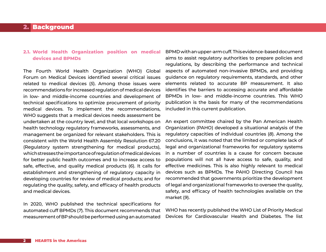## <span id="page-9-0"></span>2. Background

#### **2.1. World Health Organization position on medical devices and BPMDs**

The Fourth World Health Organization (WHO) Global Forum on Medical Devices identified several critical issues related to medical devices (*5*). Among those issues were recommendations for increased regulation of medical devices in low- and middle-income countries and development of technical specifications to optimize procurement of priority medical devices. To implement the recommendations, WHO suggests that a medical devices needs assessment be undertaken at the country level, and that local workshops on health technology regulatory frameworks, assessments, and management be organized for relevant stakeholders. This is consistent with the World Health Assembly Resolution 67.20 (Regulatory system strengthening for medical products), which stresses the importance of regulation of medical devices for better public health outcomes and to increase access to safe, effective, and quality medical products (*6*). It calls for establishment and strengthening of regulatory capacity in developing countries for review of medical products; and for regulating the quality, safety, and efficacy of health products and medical devices.

In 2020, WHO published the technical specifications for automated cuff BPMDs (*7*). This document recommends that measurement of BP should be performed using an automated

BPMD with an upper-arm cuff. This evidence-based document aims to assist regulatory authorities to prepare policies and regulations, by describing the performance and technical aspects of automated non-invasive BPMDs, and providing guidance on regulatory requirements, standards, and other elements related to accurate BP measurement. It also identifies the barriers to accessing accurate and affordable BPMDs in low- and middle-income countries. This WHO publication is the basis for many of the recommendations included in this current publication.

An expert committee chaired by the Pan American Health Organization (PAHO) developed a situational analysis of the regulatory capacities of individual countries (*8*). Among the conclusions, it was noted that the limited or complete lack of legal and organizational frameworks for regulatory systems in a number of countries is a cause for concern because populations will not all have access to safe, quality, and effective medicines. This is also highly relevant to medical devices such as BPMDs. The PAHO Directing Council has recommended that governments prioritize the development of legal and organizational frameworks to oversee the quality, safety, and efficacy of health technologies available on the market (*9*).

WHO has recently published the WHO List of Priority Medical Devices for Cardiovascular Health and Diabetes. The list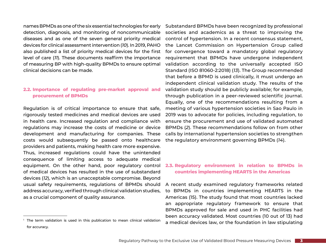names BPMDs as one of the six essential technologies for early detection, diagnosis, and monitoring of noncommunicable diseases and as one of the seven general priority medical devices for clinical assessment intervention (*10*). In 2019, PAHO also published a list of priority medical devices for the first level of care (*11*). These documents reaffirm the importance of measuring BP with high-quality BPMDs to ensure optimal clinical decisions can be made.

#### **2.2. Importance of regulating pre-market approval and procurement of BPMDs**

Regulation is of critical importance to ensure that safe, rigorously tested medicines and medical devices are used in health care. Increased regulation and compliance with regulations may increase the costs of medicine or device development and manufacturing for companies. These costs would subsequently be passed onto healthcare providers and patients, making health care more expensive. Thus, increased regulations could have the unintended consequence of limiting access to adequate medical equipment. On the other hand, poor regulatory control of medical devices has resulted in the use of substandard devices (*12*), which is an unacceptable compromise. Beyond usual safety requirements, regulations of BPMDs should address accuracy, verified through clinical validation studies, as a crucial component of quality assurance.

Substandard BPMDs have been recognized by professional societies and academics as a threat to improving the control of hypertension. In a recent consensus statement, the Lancet Commission on Hypertension Group called for convergence toward a mandatory global regulatory requirement that BPMDs have undergone independent validation according to the universally accepted ISO Standard (ISO 81060-2:2018) (*13*). The Group recommended that before a BPMD is used clinically, it must undergo an independent clinical validation study. The results of the validation study should be publicly available; for example, through publication in a peer-reviewed scientific journal. Equally, one of the recommendations resulting from a meeting of various hypertension societies in Sao Paulo in 2019 was to advocate for policies, including regulation, to ensure the procurement and use of validated automated BPMDs (*2*). These recommendations follow on from other calls by international hypertension societies to strengthen the regulatory environment governing BPMDs (*14*).

#### **2.3. Regulatory environment in relation to BPMDs in countries implementing HEARTS in the Americas**

A recent study examined regulatory frameworks related to BPMDs in countries implementing HEARTS in the Americas (15). The study found that most countries lacked an appropriate regulatory framework to ensure that BPMDs approved for sale and used in PHC facilities had been accuracy validated. Most countries (10 out of 13) had <sup>1</sup> The term validation is used in this publication to mean clinical validation a medical devices law, or the foundation in law stipulating

for accuracy.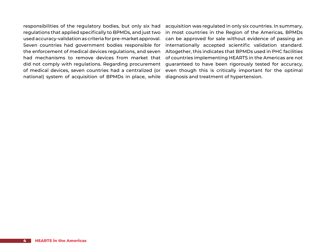responsibilities of the regulatory bodies, but only six had regulations that applied specifically to BPMDs, and just two used accuracy-validation as criteria for pre-market approval. Seven countries had government bodies responsible for the enforcement of medical devices regulations, and seven had mechanisms to remove devices from market that did not comply with regulations. Regarding procurement of medical devices, seven countries had a centralized (or national) system of acquisition of BPMDs in place, while

acquisition was regulated in only six countries. In summary, in most countries in the Region of the Americas, BPMDs can be approved for sale without evidence of passing an internationally accepted scientific validation standard. Altogether, this indicates that BPMDs used in PHC facilities of countries implementing HEARTS in the Americas are not guaranteed to have been rigorously tested for accuracy, even though this is critically important for the optimal diagnosis and treatment of hypertension.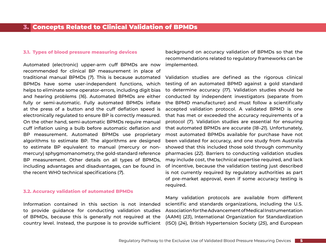#### <span id="page-12-0"></span>**3.1. Types of blood pressure measuring devices**

Automated (electronic) upper-arm cuff BPMDs are now recommended for clinical BP measurement in place of traditional manual BPMDs (*7*). This is because automated BPMDs have some user-independent functions, which helps to eliminate some operator-errors, including digit bias and hearing problems (*16*). Automated BPMDs are either fully or semi-automatic. Fully automated BPMDs inflate at the press of a button and the cuff deflation speed is electronically regulated to ensure BP is correctly measured. On the other hand, semi-automatic BPMDs require manual cuff inflation using a bulb before automatic deflation and BP measurement. Automated BPMDs use proprietary algorithms to estimate BP. The algorithms are designed to estimate BP equivalent to manual (mercury or nonmercury) sphygmomanometry, the gold-standard reference BP measurement. Other details on all types of BPMDs, including advantages and disadvantages, can be found in the recent WHO technical specifications (*7*).

#### **3.2. Accuracy validation of automated BPMDs**

Information contained in this section is not intended to provide guidance for conducting validation studies of BPMDs, because this is generally not required at the country level. Instead, the purpose is to provide sufficient

background on accuracy validation of BPMDs so that the recommendations related to regulatory frameworks can be implemented.

Validation studies are defined as the rigorous clinical testing of an automated BPMD against a gold standard to determine accuracy (*17*). Validation studies should be conducted by independent investigators (separate from the BPMD manufacturer) and must follow a scientifically accepted validation protocol. A validated BPMD is one that has met or exceeded the accuracy requirements of a protocol (*7*). Validation studies are essential for ensuring that automated BPMDs are accurate (*18–21*). Unfortunately, most automated BPMDs available for purchase have not been validated for accuracy, and one study from Australia showed that this included those sold through community pharmacies (*22*). Barriers to conducting validation studies may include cost, the technical expertise required, and lack of incentive, because the validation testing just described is not currently required by regulatory authorities as part of pre-market approval, even if some accuracy testing is required.

Many validation protocols are available from different scientific and standards organizations, including the U.S. Association for the Advancement of Medical Instrumentation (AAMI) (*23*), International Organization for Standardization (ISO) (*24*), British Hypertension Society (*25*), and European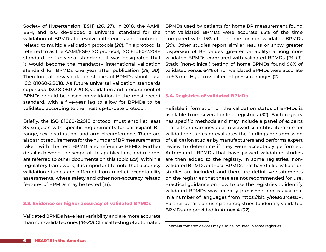Society of Hypertension (ESH) (*26, 27*). In 2018, the AAMI, ESH, and ISO developed a universal standard for the validation of BPMDs to resolve differences and confusion related to multiple validation protocols (*28*). This protocol is referred to as the AAMI/ESH/ISO protocol, ISO 81060-2:2018 standard, or "universal standard." It was designated that it would become the mandatory international validation standard for BPMDs one year after publication (*29, 30*). Therefore, all new validation studies of BPMDs should use ISO 81060-2:2018. As future universal validation standards supersede ISO 81060-2:2018, validation and procurement of BPMDs should be based on validation to the most recent standard, with a five-year lag to allow for BPMDs to be validated according to the most up-to-date protocol.

Briefly, the ISO 81060-2:2018 protocol must enroll at least 85 subjects with specific requirements for participant BP range, sex distribution, and arm circumference. There are also strict requirements for the number of BP measurements taken with the test BPMD and reference BPMD. Further detail is beyond the scope of this publication, and readers are referred to other documents on this topic (*29*). Within a regulatory framework, it is important to note that accuracy validation studies are different from market acceptability assessments, where safety and other non-accuracy related features of BPMDs may be tested (*31*).

#### **3.3. Evidence on higher accuracy of validated BPMDs**

Validated BPMDs have less variability and are more accurate than non-validated ones (*18–20*). Clinical testing of automated

BPMDs used by patients for home BP measurement found that validated BPMDs were accurate 65% of the time compared with 15% of the time for non-validated BPMDs (*20*). Other studies report similar results or show greater dispersion of BP values (greater variability) among nonvalidated BPMDs compared with validated BPMDs (*18, 19*). Static (non-clinical) testing of home BPMDs found 96% of validated versus 64% of non-validated BPMDs were accurate to ± 3 mm Hg across different pressure ranges (*21*).

#### **3.4. Registries of validated BPMDs**

Reliable information on the validation status of BPMDs is available from several online registries (*32*). Each registry has specific methods and may include a panel of experts that either examines peer-reviewed scientific literature for validation studies or evaluates the findings or submission of validation studies by manufacturers and performs expert review to determine if they were acceptably performed. Automated BPMDs that have passed validation studies are then added to the registry. In some registries, nonvalidated BPMDs or those BPMDs that have failed validation studies are included, and there are definitive statements on the registries that these are not recommended for use. Practical guidance on how to use the registries to identify validated BPMDs was recently published and is available in a number of languages from https://bit.ly/ResourcesBP. Further details on using the registries to identify validated BPMDs are provided in Annex A (*32*).

<sup>&</sup>lt;sup>2</sup> Semi-automated devices may also be included in some registries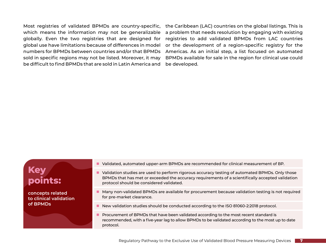Most registries of validated BPMDs are country-specific, which means the information may not be generalizable globally. Even the two registries that are designed for global use have limitations because of differences in model numbers for BPMDs between countries and/or that BPMDs sold in specific regions may not be listed. Moreover, it may be difficult to find BPMDs that are sold in Latin America and

the Caribbean (LAC) countries on the global listings. This is a problem that needs resolution by engaging with existing registries to add validated BPMDs from LAC countries or the development of a region-specific registry for the Americas. As an initial step, a list focused on automated BPMDs available for sale in the region for clinical use could be developed.

## **Key points:**

**concepts related to clinical validation of BPMDs**

- Validated, automated upper-arm BPMDs are recommended for clinical measurement of BP.
- I Validation studies are used to perform rigorous accuracy testing of automated BPMDs. Only those BPMDs that has met or exceeded the accuracy requirements of a scientifically accepted validation protocol should be considered validated.
- Many non-validated BPMDs are available for procurement because validation testing is not required for pre-market clearance.
- New validation studies should be conducted according to the ISO 81060-2:2018 protocol.
- **Procurement of BPMDs that have been validated according to the most recent standard is** recommended, with a five-year lag to allow BPMDs to be validated according to the most up to date protocol.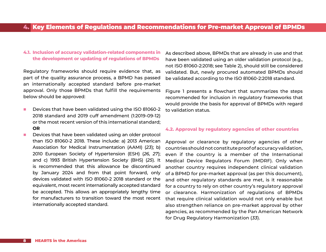#### <span id="page-15-0"></span>**4.1. Inclusion of accuracy validation-related components in the development or updating of regulations of BPMDs**

Regulatory frameworks should require evidence that, as part of the quality assurance process, a BPMD has passed an internationally accepted standard before pre-market approval. Only those BPMDs that fulfill the requirements below should be approved:

- Devices that have been validated using the ISO 81060-2 2018 standard and 2019 cuff amendment (1:2019-09-12) or the most recent version of this international standard; **OR**
- Devices that have been validated using an older protocol than ISO 81060-2 2018. These include: a) 2013 American Association for Medical Instrumentation (AAMI) (*23*); b) 2010 European Society of Hypertension (ESH) (*26, 27*); and c) 1993 British Hypertension Society (BHS) (*25*). It is recommended that this allowance be discontinued by January 2024 and from that point forward, only devices validated with ISO 81060-2 2018 standard or the equivalent, most recent internationally accepted standard be accepted. This allows an appropriately lengthy time for manufacturers to transition toward the most recent internationally accepted standard.

As described above, BPMDs that are already in use and that have been validated using an older validation protocol (e.g., not ISO 81060-2:2018; see Table 2), should still be considered validated. But, newly procured automated BPMDs should be validated according to the ISO 81060-2:2018 standard.

Figure 1 presents a flowchart that summarizes the steps recommended for inclusion in regulatory frameworks that would provide the basis for approval of BPMDs with regard to validation status.

#### **4.2. Approval by regulatory agencies of other countries**

Approval or clearance by regulatory agencies of other countries should not constitute proof of accuracy validation, even if the country is a member of the International Medical Device Regulators Forum (IMDRF). Only when another country requires independent clinical validation of a BPMD for pre-market approval (as per this document), and other regulatory standards are met, is it reasonable for a country to rely on other country's regulatory approval or clearance. Harmonization of regulations of BPMDs that require clinical validation would not only enable but also strengthen reliance on pre-market approval by other agencies, as recommended by the Pan American Network for Drug Regulatory Harmonization (*33*).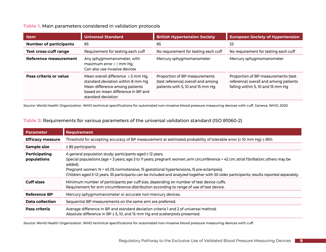#### **Table 1.** Main parameters considered in validation protocols

| <b>Item</b>                   | <b>Universal Standard</b>                                                                                                                                                 | <b>British Hypertension Society</b>                                                                     | <b>European Society of Hypertension</b>                                                                           |
|-------------------------------|---------------------------------------------------------------------------------------------------------------------------------------------------------------------------|---------------------------------------------------------------------------------------------------------|-------------------------------------------------------------------------------------------------------------------|
| <b>Number of participants</b> | 85                                                                                                                                                                        | 85                                                                                                      | 33                                                                                                                |
| <b>Test cross-cuff range</b>  | Requirement for testing each cuff                                                                                                                                         | No requirement for testing each cuff                                                                    | No requirement for testing each cuff                                                                              |
| Reference measurement         | Any sphygmomanometer, with<br>maximum error $\pm 1$ mm Hg.<br>Can also use invasive devices                                                                               | Mercury sphygmomanometer                                                                                | Mercury sphygmomanometer                                                                                          |
| Pass criteria or value        | Mean overall difference $\pm$ 5 mm Hg,<br>standard deviation within 8 mm Hg<br>Mean difference among patients<br>based on mean difference in BP and<br>standard deviation | Proportion of BP measurements<br>(test reference) overall and among<br>patients with 5, 10 and 15 mm Hg | Proportion of BP measurements (test<br>reference) overall and among patients<br>falling within 5, 10 and 15 mm Hg |

*Source*: World Health Organization. WHO technical specifications for automated non-invasive blood pressure measuring devices with cuff. Geneva: WHO; 2020.

#### **Table 2:** Requirements for various parameters of the universal validation standard (ISO 81060-2)

| <b>Parameter</b>                    | <b>Requirement</b>                                                                                                                                                                                                                                                                                                                                                                                                                                         |
|-------------------------------------|------------------------------------------------------------------------------------------------------------------------------------------------------------------------------------------------------------------------------------------------------------------------------------------------------------------------------------------------------------------------------------------------------------------------------------------------------------|
| <b>Efficacy measure</b>             | Threshold for accepting accuracy of BP measurement at estimated probability of tolerable error (≤ 10 mm Hg) ≥ 85%                                                                                                                                                                                                                                                                                                                                          |
| Sample size                         | $\geq$ 85 participants                                                                                                                                                                                                                                                                                                                                                                                                                                     |
| <b>Participating</b><br>populations | A general population study: participants aged $\geq$ 12 years.<br>Special populations (age < 3 years; age 3 to 11 years; pregnant women; arm circumference > 42 cm; atrial fibrillation; others may be<br>added).<br>Pregnant women: N = 45 (15 normotensive, 15 gestational hypertensions, 15 pre-eclampsia).<br>Children aged 3-12 years. 35 participants can be included and analyzed together with 50 older participants; results reported separately. |
| <b>Cuff sizes</b>                   | Minimum number of participants per cuff size, depending on number of test device cuffs.<br>Requirement for arm circumference distribution according to range of use of test device.                                                                                                                                                                                                                                                                        |
| <b>Reference BP</b>                 | Mercury sphygmomanometer or accurate non-mercury devices.                                                                                                                                                                                                                                                                                                                                                                                                  |
| <b>Data collection</b>              | Sequential BP measurements on the same arm are preferred.                                                                                                                                                                                                                                                                                                                                                                                                  |
| Pass criteria                       | Average difference in BP and standard deviation criteria 1 and 2 of universal method.<br>Absolute difference in BP $\leq$ 5, 10, and 15 mm Hg and scatterplots presented.                                                                                                                                                                                                                                                                                  |

*Source:* World Health Organization. WHO technical specifications for automated non-invasive blood pressure measuring devices with cuff.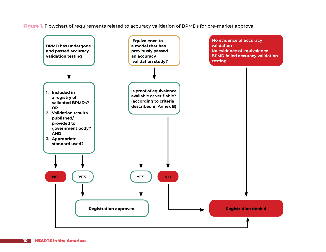**Figure 1.** Flowchart of requirements related to accuracy validation of BPMDs for pre-market approval

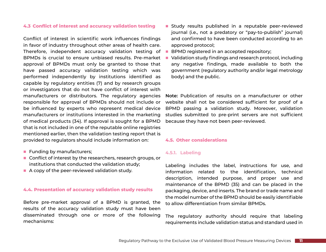#### **4.3 Conflict of interest and accuracy validation testing**

Conflict of interest in scientific work influences findings in favor of industry throughout other areas of health care. Therefore, independent accuracy validation testing of BPMDs is crucial to ensure unbiased results. Pre-market approval of BPMDs must only be granted to those that have passed accuracy validation testing which was performed independently by institutions identified as capable by regulatory entities (7) and by research groups or investigators that do not have conflict of interest with manufacturers or distributors. The regulatory agencies responsible for approval of BPMDs should not include or be influenced by experts who represent medical device manufacturers or institutions interested in the marketing of medical products (34). If approval is sought for a BPMD that is not included in one of the reputable online registries mentioned earlier, then the validation testing report that is provided to regulators should include information on:

- **Funding by manufacturers;**
- Conflict of interest by the researchers, research groups, or institutions that conducted the validation study;
- A copy of the peer-reviewed validation study.

#### **4.4. Presentation of accuracy validation study results**

Before pre-market approval of a BPMD is granted, the results of the accuracy validation study must have been disseminated through one or more of the following mechanisms:

- **Study results published in a reputable peer-reviewed** journal (i.e., not a predatory or "pay-to-publish" journal) and confirmed to have been conducted according to an approved protocol;
- **BPMD registered in an accepted repository;**
- Validation study findings and research protocol, including any negative findings, made available to both the government (regulatory authority and/or legal metrology body) and the public.

**Note:** Publication of results on a manufacturer or other website shall not be considered sufficient for proof of a BPMD passing a validation study. Moreover, validation studies submitted to pre-print servers are not sufficient because they have not been peer-reviewed.

#### **4.5. Other considerations**

#### **4.5.1. Labeling**

Labeling includes the label, instructions for use, and information related to the identification, technical description, intended purpose, and proper use and maintenance of the BPMD (35) and can be placed in the packaging, device, and inserts. The brand or trade name and the model number of the BPMD should be easily identifiable to allow differentiation from similar BPMDs.

The regulatory authority should require that labeling requirements include validation status and standard used in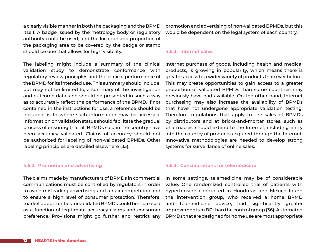a clearly visible manner in both the packaging and the BPMD itself. A badge issued by the metrology body or regulatory authority could be used, and the location and proportion of the packaging area to be covered by the badge or stamp should be one that allows for high visibility.

The labeling might include a summary of the clinical validation study to demonstrate conformance with regulatory review principles and the clinical performance of the BPMD for its intended use. This summary should include, but may not be limited to, a summary of the investigation and outcome data, and should be presented in such a way as to accurately reflect the performance of the BPMD. If not contained in the instructions for use, a reference should be included as to where such information may be accessed. Information on validation status should facilitate the gradual process of ensuring that all BPMDs sold in the country have been accuracy validated. Claims of accuracy should not be authorized for labeling of non-validated BPMDs. Other labeling principles are detailed elsewhere (*35*).

#### **4.5.2. Promotion and advertising**

The claims made by manufacturers of BPMDs in commercial communications must be controlled by regulators in order to avoid misleading advertising and unfair competition and to ensure a high level of consumer protection. Therefore, market opportunities for validated BPMDs could be increased as a function of legitimate accuracy claims and consumer preference. Provisions might go further and restrict any

promotion and advertising of non-validated BPMDs, but this would be dependent on the legal system of each country.

#### **4.5.3. Internet sales**

Internet purchase of goods, including health and medical products, is growing in popularity, which means there is greater access to a wider variety of products than ever before. This may create opportunities to gain access to a greater proportion of validated BPMDs than some countries may previously have had available. On the other hand, Internet purchasing may also increase the availability of BPMDs that have not undergone appropriate validation testing. Therefore, regulations that apply to the sales of BPMDs by distributors and at bricks-and-mortar stores, such as pharmacies, should extend to the Internet, including entry into the country of products acquired through the Internet. Innovative methodologies are needed to develop strong systems for surveillance of online sales.

#### **4.5.3. Considerations for telemedicine**

In some settings, telemedicine may be of considerable value. One randomized controlled trial of patients with hypertension conducted in Honduras and Mexico found the intervention group, who received a home BPMD and telemedicine advice, had significantly greater improvements in BP than the control group (36). Automated BPMDs that are designed for home use are most appropriate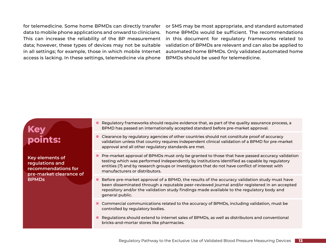for telemedicine. Some home BPMDs can directly transfer data to mobile phone applications and onward to clinicians. This can increase the reliability of the BP measurement data; however, these types of devices may not be suitable in all settings; for example, those in which mobile Internet access is lacking. In these settings, telemedicine via phone

or SMS may be most appropriate, and standard automated home BPMDs would be sufficient. The recommendations in this document for regulatory frameworks related to validation of BPMDs are relevant and can also be applied to automated home BPMDs. Only validated automated home BPMDs should be used for telemedicine.

# **Key points:**

**Key elements of regulations and recommendations for pre-market clearance of BPMDs**

- **Regulatory frameworks should require evidence that, as part of the quality assurance process, a** BPMD has passed an internationally accepted standard before pre-market approval.
- Clearance by regulatory agencies of other countries should not constitute proof of accuracy validation unless that country requires independent clinical validation of a BPMD for pre-market approval and all other regulatory standards are met.
- **Pre-market approval of BPMDs must only be granted to those that have passed accuracy validation** testing which was performed independently by institutions identified as capable by regulatory entities (*7*) and by research groups or investigators that do not have conflict of interest with manufacturers or distributors.
- Before pre-market approval of a BPMD, the results of the accuracy validation study must have been disseminated through a reputable peer-reviewed journal and/or registered in an accepted repository and/or the validation study findings made available to the regulatory body and general public.
- Commercial communications related to the accuracy of BPMDs, including validation, must be controlled by regulatory bodies.
- **Regulations should extend to internet sales of BPMDs, as well as distributors and conventional** bricks-and-mortar stores like pharmacies.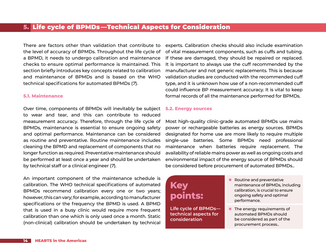<span id="page-21-0"></span>There are factors other than validation that contribute to the level of accuracy of BPMDs. Throughout the life cycle of a BPMD, it needs to undergo calibration and maintenance checks to ensure optimal performance is maintained. This section briefly introduces key concepts related to calibration and maintenance of BPMDs and is based on the WHO technical specifications for automated BPMDs (*7*).

#### **5.1. Maintenance**

Over time, components of BPMDs will inevitably be subject to wear and tear, and this can contribute to reduced measurement accuracy. Therefore, through the life cycle of BPMDs, maintenance is essential to ensure ongoing safety and optimal performance. Maintenance can be considered as routine and preventative. Routine maintenance includes cleaning the BPMD and replacement of components that no longer function as required. Preventative maintenance should be performed at least once a year and should be undertaken by technical staff or a clinical engineer (*7*).

An important component of the maintenance schedule is calibration. The WHO technical specifications of automated BPMDs recommend calibration every one or two years; however, this can vary; for example, according to manufacturer specifications or the frequency the BPMD is used. A BPMD that is used in a busy clinic would require more frequent calibration than one which is only used once a month. Static (non-clinical) calibration should be undertaken by technical

experts. Calibration checks should also include examination of vital measurement components, such as cuffs and tubing. If these are damaged, they should be repaired or replaced. It is important to always use the cuff recommended by the manufacturer and not generic replacements. This is because validation studies are conducted with the recommended cuff type, and it is unknown how use of a non-recommended cuff could influence BP measurement accuracy. It is vital to keep formal records of all the maintenance performed for BPMDs.

#### **5.2. Energy sources**

Most high-quality clinic-grade automated BPMDs use mains power or rechargeable batteries as energy sources. BPMDs designated for home use are more likely to require multiple single-use batteries. Some BPMDs need professional maintenance when batteries require replacement. The availability of reliable mains power as well as ongoing costs and environmental impact of the energy source of BPMDs should be considered before procurement of automated BPMDs..

| <b>Kev</b><br>points:                                          | Routine and preventative<br>maintenance of BPMDs, including<br>calibration, is crucial to ensure<br>ongoing safety and optimal<br>performance. |
|----------------------------------------------------------------|------------------------------------------------------------------------------------------------------------------------------------------------|
| Life cycle of BPMDs-<br>technical aspects for<br>consideration | The energy requirements of<br>automated BPMDs should<br>be considered as part of the<br>procurement process                                    |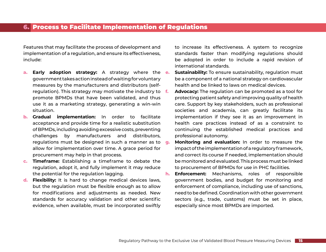## <span id="page-22-0"></span>6. Process to Facilitate Implementation of Regulations

Features that may facilitate the process of development and implementation of a regulation, and ensure its effectiveness, include:

- **a. Early adoption strategy:** A strategy where the **e.** government takes action instead of waiting for voluntary measures by the manufacturers and distributors (selfregulation). This strategy may motivate the industry to  $f$ . promote BPMDs that have been validated, and thus use it as a marketing strategy, generating a win-win situation.
- **b. Gradual implementation:** In order to facilitate acceptance and provide time for a realistic substitution of BPMDs, including avoiding excessive costs, preventing challenges by manufacturers and distributors, regulations must be designed in such a manner as to g. allow for implementation over time. A grace period for procurement may help in that process.
- **c. Timeframe:** Establishing a timeframe to debate the regulation, adopt it, and fully implement it may reduce the potential for the regulation lagging.
- **d. Flexibility:** It is hard to change medical devices laws, but the regulation must be flexible enough as to allow for modifications and adjustments as needed. New standards for accuracy validation and other scientific evidence, when available, must be incorporated swiftly

to increase its effectiveness. A system to recognize standards faster than modifying regulations should be adopted in order to include a rapid revision of international standards.

- **Sustainability:** To ensure sustainability, regulation must be a component of a national strategy on cardiovascular health and be linked to laws on medical devices.
- **f. Advocacy:** The regulation can be promoted as a tool for protecting patient safety and improving quality of health care. Support by key stakeholders, such as professional societies and academia, can greatly facilitate its implementation if they see it as an improvement in health care practices instead of as a constraint to continuing the established medical practices and professional autonomy.
- **g. Monitoring and evaluation:** In order to measure the impact of the implementation of a regulatory framework, and correct its course if needed, implementation should be monitored and evaluated. This process must be linked to procurement of BPMDs for use in PHC facilities.
- **h. Enforcement:** Mechanisms, roles of responsible government bodies, and budget for monitoring and enforcement of compliance, including use of sanctions, need to be defined. Coordination with other government sectors (e.g., trade, customs) must be set in place, especially since most BPMDs are imported.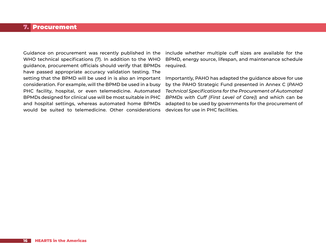### <span id="page-23-0"></span>7. Procurement

Guidance on procurement was recently published in the WHO technical specifications (7). In addition to the WHO guidance, procurement officials should verify that BPMDs have passed appropriate accuracy validation testing. The setting that the BPMD will be used in is also an important consideration. For example, will the BPMD be used in a busy PHC facility, hospital, or even telemedicine. Automated BPMDs designed for clinical use will be most suitable in PHC and hospital settings, whereas automated home BPMDs would be suited to telemedicine. Other considerations include whether multiple cuff sizes are available for the BPMD, energy source, lifespan, and maintenance schedule required.

Importantly, PAHO has adapted the guidance above for use by the PAHO Strategic Fund presented in Annex C (*PAHO Technical Specifications for the Procurement of Automated BPMDs with Cuff (First Level of Care)*) and which can be adapted to be used by governments for the procurement of devices for use in PHC facilities.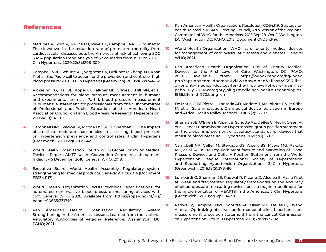## <span id="page-24-0"></span>References

- **1.** Martinez R, Soliz P, Mujica OJ, Reveiz L, Campbell NRC, Ordunez P. The slowdown in the reduction rate of premature mortality from cardiovascular diseases puts the Americas at risk of achieving SDG 3.4: A population trend analysis of 37 countries from 1990 to 2017. J Clin Hypertens. 2020;22(8):1296–309.
- **2.** Campbell NRC, Schutte AE, Varghese CV, Ordunez P, Zhang XH, Khan T, et al. Sao Paulo call to action for the prevention and control of high blood pressure: 2020. J Clin Hypertens (Greenwich). 2019;21(12):1744–52.
- **3.** Pickering TG, Hall JE, Appel LJ, Falkner BE, Graves J, Hill MN, et al. Recommendations for blood pressure measurement in humans and experimental animals: Part 1: blood pressure measurement in humans: a statement for professionals from the Subcommittee of Professional and Public Education of the American Heart Association Council on High Blood Pressure Research. Hypertension. 2005;45(1):142–61.
- **4.** Campbell NRC, Padwal R, Picone DS, Su H, Sharman JE. The impact of small to moderate inaccuracies in assessing blood pressure on hypertension prevalence and control rates. J Clin Hypertens (Greenwich). 2020;22(6):939–42.
- **5.** World Health Organization. Fourth WHO Global Forum on Medical Devices: Report: AMTZ-Kalam Convention Centre, Visakhapatnam, India, 13–15 December 2018. Geneva: WHO; 2019.
- **6.** Executive Board, World Health Assembly. Regulatory system strengthening for medical products. Geneva: WHO; 2014 (Document EB134.R17).
- **7.** World Health Organization. WHO technical specifications for automated non-invasive blood pressure measuring devices with cuff. Geneva: WHO; 2020. Available from: https://apps.who.int/iris/ handle/10665/331749
- **8.** Pan American Health Organization. Regulatory System Strengthening in the Americas. Lessons Learned from the National Regulatory Authorities of Regional Reference. Washington, DC: PAHO; 2021.
- **9.** Pan American Health Organization. Resolution CD54.R9: Strategy on health-related law. 54th Directing Council, 67th Session of the Regional Committee of WHO for the Americas; 2015 Sep 28–Oct 2; Washington, DC. Washington, DC: PAHO; 2015 (Document CVD54.R9).
- **10.** World Health Organization. WHO list of priority medical devices for management of cardiovascular diseases and diabetes. Geneva: WHO; 2021.
- **11.** Pan American Health Organization. List of Priority Medical Devices for the First Level of Care. Washington, DC: PAHO; 2019. Available from: https://www3.paho.org/hq/index. php?option=com\_docman&view=download&alias=49356-listof-priority-medical-devices-for-the-first-level-of-care-main-listpaho-july-2019&category\_slug=medicines-health-technologies-1966&Itemid=270&lang=en
- **12.** De Maria C, Di Pietro L, Lantada AD, Madete J, Makobore PN, Mridha M, et al. Safe innovation: On medical device legislation in Europe and Africa. Health Policy Technol. 2018;7(2):156–65.
- **13.** Sharman JE, O'Brien E, Alpert B, Schutte AE, Delles C, Hecht Olsen M, et al. Lancet Commission on Hypertension group position statement on the global improvement of accuracy standards for devices that measure blood pressure. J Hypertens. 2020;38(1):21–9.
- **14.** Campbell NR, Gelfer M, Stergiou GS, Alpert BS, Myers MG, Rakotz MK, et al. A Call to Regulate Manufacture and Marketing of Blood Pressure Devices and Cuffs: A Position Statement from the World Hypertension League, International Society of Hypertension and Supporting Hypertension Organizations. J Clin Hypertens (Greenwich). 2016;18(5):378–80.
- **15.** Lombardi C, Sharman JE, Padwal R, Picone D, Alcolea E, Ayala R, et al. Weak and fragmented regulatory frameworks on the accuracy of blood pressure-measuring devices pose a major impediment for the implementation of HEARTS in the Americas. J Clin Hypertens (Greenwich). 2020;22(12):2184–91.
- **16.** Padwal R, Campbell NRC, Schutte AE, Olsen MH, Delles C, Etyang A, et al. Optimizing observer performance of clinic blood pressure measurement: a position statement from the Lancet Commission on Hypertension Group. J Hypertens. 2019;37(9):1737–45.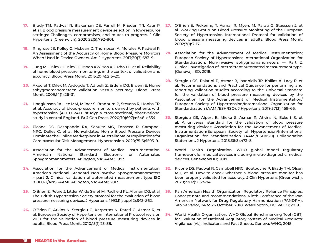- **17.** Brady TM, Padwal R, Blakeman DE, Farrell M, Frieden TR, Kaur P, et al. Blood pressure measurement device selection in low-resource settings: Challenges, compromises, and routes to progress. J Clin Hypertens (Greenwich). 2020;22(5):792–801.
- **18.** Ringrose JS, Polley G, McLean D, Thompson A, Morales F, Padwal R. An Assessment of the Accuracy of Home Blood Pressure Monitors When Used in Device Owners. Am J Hypertens. 2017;30(7):683–9.
- **19.** Jung MH, Kim GH, Kim JH, Moon KW, Yoo KD, Rho TH, et al. Reliability of home blood pressure monitoring: in the context of validation and accuracy. Blood Press Monit. 2015;20(4):215–20.
- **20.** Akpolat T, Dilek M, Aydogdu T, Adibelli Z, Erdem DG, Erdem E. Home sphygmomanometers: validation versus accuracy. Blood Press Monit. 2009;14(1):26–31.
- **21.** Hodgkinson JA, Lee MM, Milner S, Bradburn P, Stevens R, Hobbs FR, et al. Accuracy of blood-pressure monitors owned by patients with hypertension (ACCU-RATE study): a cross-sectional, observational study in central England. Br J Gen Pract. 2020;70(697):e548–e554.
- **22.** Picone DS, Deshpande RA, Schultz MG, Fonseca R, Campbell NRC, Delles C, et al. Nonvalidated Home Blood Pressure Devices Dominate the Online Marketplace in Australia: Major Implications for Cardiovascular Risk Management. Hypertension. 2020;75(6):1593–9.
- **23.** Association for the Advancement of Medical Instrumentation. American National Standard Electronic or Automated Sphygmomanometers. Arlington, VA: AAMI; 1993.
- **24.** Association for the Advancement of Medical Instrumentation. American National Standard Non-invasive Sphygmomanometers – part 2: Clinical validation of automated measurement type ISO 81060-2/ANSI-AAMI. Arlington, VA: AAMI; 2013.
- **25.** O'Brien E, Petrie J, Littler W, de Swiet M, Padfield PL, Altman DG, et al. The British Hypertension Society protocol for the evaluation of blood pressure measuring devices. J Hypertens. 1993;11(suppl 2):S43–S62.
- **26.** O'Brien E, Atkins N, Stergiou G, Karpettas N, Parati G, Asmar R, et al. European Society of Hypertension International Protocol revision 2010 for the validation of blood pressure measuring devices in adults. Blood Press Monit. 2010;15(1):23–38.
- **27.** O'Brien E, Pickering T, Asmar R, Myers M, Parati G, Staessen J, et al. Working Group on Blood Pressure Monitoring of the European Society of Hypertension International Protocol for validation of blood pressure measuring devices in adults. Blood Press Monit. 2002;7(1):3–17.
- **28.** Association for the Advancement of Medical Instrumentation; European Society of Hypertension; International Organization for Standardization. Non-invasive sphygmomanometers — Part 2: Clinical investigation of intermittent automated measurement type. [Geneva]: ISO; 2018.
- **29.** Stergiou GS, Palatini P, Asmar R, Ioannidis JP, Kollias A, Lacy P, et al. Recommendations and Practical Guidance for performing and reporting validation studies according to the Universal Standard for the validation of blood pressure measuring devices by the Association for the Advancement of Medical Instrumentation/ European Society of Hypertension/International Organization for Standardization (AAMI/ESH/ISO). J Hypertens. 2019;37(3):459–66.
- **30.** Stergiou GS, Alpert B, Mieke S, Asmar R, Atkins N, Eckert S, et al. A universal standard for the validation of blood pressure measuring devices: Association for the Advancement of Medical Instrumentation/European Society of Hypertension/International Organization for Standardization (AAMI/ESH/ISO) Collaboration Statement. J Hypertens. 2018;36(3):472–8.
- **31.** World Health Organization. WHO global model regulatory framework for medical devices including in vitro diagnostic medical devices. Geneva: WHO; 2017.
- **32.** Picone DS, Padwal R, Campbell NRC, Boutouyrie P, Brady TM, Olsen MH, et al. How to check whether a blood pressure monitor has been properly validated for accuracy. J Clin Hypertens (Greenwich). 2020;22(12):2167–74.
- **33.** Pan American Health Organization. Regulatory Reliance Principles: Concept note and recommendations. Ninth Conference of the Pan American Network for Drug Regulatory Harmonization (PANDRH); San Salvador, 24 to 26 October, 2018. Washington, DC: PAHO; 2019.
- **34.** World Health Organization. WHO Global Benchmarking Tool (GBT) for Evaluation of National Regulatory System of Medical Products: Vigilance (VL): Indicators and Fact Sheets. Geneva: WHO; 2018.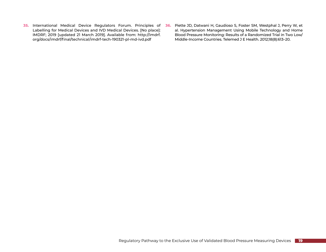- **35.** International Medical Device Regulators Forum. Principles of Labelling for Medical Devices and IVD Medical Devices. [No place]: IMDRF; 2019 [updated 21 March 2019]. Available from: http://imdrf. org/docs/imdrf/final/technical/imdrf-tech-190321-pl-md-ivd.pdf
- **36.** Piette JD, Datwani H, Gaudioso S, Foster SM, Westphal J, Perry W, et al. Hypertension Management Using Mobile Technology and Home Blood Pressure Monitoring: Results of a Randomized Trial in Two Low/ Middle-Income Countries. Telemed J E Health. 2012;18(8):613–20.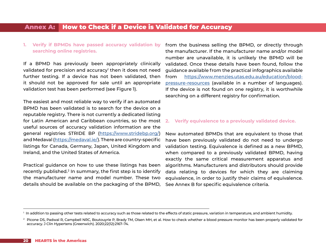## <span id="page-27-0"></span>Annex A: How to Check if a Device is Validated for Accuracy

### **1. Verify if BPMDs have passed accuracy validation by searching online registries.**

If a BPMD has previously been appropriately clinically validated for precision and accuracy<sup>1</sup> then it does not need further testing. If a device has not been validated, then it should not be approved for sale until an appropriate validation test has been performed (see Figure 1).

The easiest and most reliable way to verify if an automated BPMD has been validated is to search for the device on a reputable registry. There is not currently a dedicated listing for Latin American and Caribbean countries, so the most useful sources of accuracy validation information are the general registries STRIDE BP (<https://www.stridebp.org/>) and Medaval (<https://medaval.ie/>). There are country-specific listings for Canada, Germany, Japan, United Kingdom and Ireland, and the United States of America.

Practical guidance on how to use these listings has been recently published.<sup>2</sup> In summary, the first step is to identify the manufacturer name and model number. These two details should be available on the packaging of the BPMD,

from the business selling the BPMD, or directly through the manufacturer. If the manufacturer name and/or model number are unavailable, it is unlikely the BPMD will be validated. Once these details have been found, follow the guidance available from the practical infographics available from [https://www.menzies.utas.edu.au/education/blood](https://www.menzies.utas.edu.au/education/blood-pressure-resources)[pressure-resources](https://www.menzies.utas.edu.au/education/blood-pressure-resources) (available in a number of languages). If the device is not found on one registry, it is worthwhile searching on a different registry for confirmation.

#### **2. Verify equivalence to a previously validated device.**

New automated BPMDs that are equivalent to those that have been previously validated do not need to undergo validation testing. Equivalence is defined as a new BPMD, when compared to a previously validated BPMD, having exactly the same critical measurement apparatus and algorithms. Manufacturers and distributors should provide data relating to devices for which they are claiming equivalence, in order to justify their claims of equivalence. See Annex B for specific equivalence criteria.

 $^{\rm 1}$  In addition to passing other tests related to accuracy such as those related to the effects of static pressure, variation in temperature, and ambient humidity.

<sup>&</sup>lt;sup>2</sup> Picone DS, Padwal R, Campbell NRC, Boutouyrie P, Brady TM, Olsen MH, et al. How to check whether a blood pressure monitor has been properly validated for accuracy. J Clin Hypertens (Greenwich). 2020;22(12):2167–74.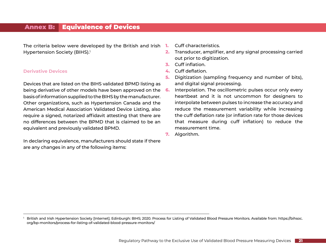## <span id="page-28-0"></span>Annex B: Equivalence of Devices

The criteria below were developed by the British and Irish 1. Hypertension Society (BIHS).<sup>1</sup>

#### **Derivative Devices**

Devices that are listed on the BIHS validated BPMD listing as being derivative of other models have been approved on the basis of information supplied to the BIHS by the manufacturer. Other organizations, such as Hypertension Canada and the American Medical Association Validated Device Listing, also require a signed, notarized affidavit attesting that there are no differences between the BPMD that is claimed to be an equivalent and previously validated BPMD.

In declaring equivalence, manufacturers should state if there are any changes in any of the following items:

- **1.** Cuff characteristics.
- **2.** Transducer, amplifier, and any signal processing carried out prior to digitization.
- **3.** Cuff inflation.
- **4.** Cuff deflation.
- **5.** Digitization (sampling frequency and number of bits), and digital signal processing.
- **6.** Interpolation. The oscillometric pulses occur only every heartbeat and it is not uncommon for designers to interpolate between pulses to increase the accuracy and reduce the measurement variability while increasing the cuff deflation rate (or inflation rate for those devices that measure during cuff inflation) to reduce the measurement time.
- **7.** Algorithm.

<sup>1</sup> British and Irish Hypertension Society [Internet]. Edinburgh: BIHS; 2020. Process for Listing of Validated Blood Pressure Monitors. Available from: https://bihsoc. org/bp-monitors/process-for-listing-of-validated-blood-pressure-monitors/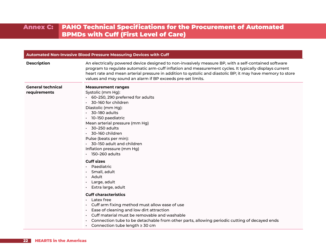## <span id="page-29-0"></span>Annex C: PAHO Technical Specifications for the Procurement of Automated BPMDs with Cuff (First Level of Care)

| Automated Non-Invasive Blood Pressure Measuring Devices with Cuff |                                                                                                                                                                                                                                                                                                                                                                                                                                         |  |
|-------------------------------------------------------------------|-----------------------------------------------------------------------------------------------------------------------------------------------------------------------------------------------------------------------------------------------------------------------------------------------------------------------------------------------------------------------------------------------------------------------------------------|--|
| <b>Description</b>                                                | An electrically powered device designed to non-invasively measure BP, with a self-contained software<br>program to regulate automatic arm-cuff inflation and measurement cycles. It typically displays current<br>heart rate and mean arterial pressure in addition to systolic and diastolic BP; it may have memory to store<br>values and may sound an alarm if BP exceeds pre-set limits.                                            |  |
| <b>General technical</b><br>requirements                          | <b>Measurement ranges</b><br>Systolic (mm Hg):<br>60–250, 290 preferred for adults<br>30-160 for children<br>Diastolic (mm Hg):<br>30-180 adults<br>10-150 paediatric<br>Mean arterial pressure (mm Hg)<br>30-250 adults<br>30–160 children<br>Pulse (beats per min):<br>30-150 adult and children<br>Inflation pressure (mm Hg)<br>$\cdot$ 150-260 adults                                                                              |  |
|                                                                   | <b>Cuff sizes</b><br>Paediatric<br>Small, adult<br>Adult<br>Large, adult<br>Extra large, adult<br><b>Cuff characteristics</b><br>Latex free<br>Cuff arm fixing method must allow ease of use<br>$\bullet$<br>Ease of cleaning and low dirt attraction<br>Cuff material must be removable and washable<br>Connection tube to be detachable from other parts, allowing periodic cutting of decayed ends<br>Connection tube length ≥ 30 cm |  |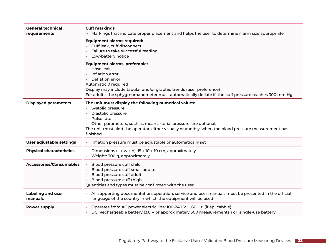| <b>General technical</b><br>requirements | <b>Cuff markings</b><br>• Markings that indicate proper placement and helps the user to determine if arm size appropriate                                                                                                                                                                              |
|------------------------------------------|--------------------------------------------------------------------------------------------------------------------------------------------------------------------------------------------------------------------------------------------------------------------------------------------------------|
|                                          | <b>Equipment alarms required:</b><br>· Cuff leak, cuff disconnect<br>Failure to take successful reading<br>Low-battery notice                                                                                                                                                                          |
|                                          | Equipment alarms, preferable:<br>Hose leak<br>Inflation error<br>Deflation error<br>Automatic 0 required<br>Display may include tabular and/or graphic trends (user preference)<br>For adults: the sphygmomanometer must automatically deflate if the cuff pressure reaches 300 mm Hg                  |
| <b>Displayed parameters</b>              | The unit must display the following numerical values:<br>Systolic pressure<br>Diastolic pressure<br>Pulse rate<br>Other parameters, such as mean arterial pressure, are optional.<br>The unit must alert the operator, either visually or audibly, when the blood pressure measurement has<br>finished |
| User adjustable settings                 | Inflation pressure must be adjustable or automatically set                                                                                                                                                                                                                                             |
| <b>Physical characteristics</b>          | Dimensions $(1 \times w \times h)$ : 15 x 10 x 10 cm, approximately<br>Weight: 300 g, approximately                                                                                                                                                                                                    |
| <b>Accessories/Consumables</b>           | Blood pressure cuff child<br>$\bullet$ .<br>Blood pressure cuff small adulto<br>Blood pressure cuff adult<br>Blood pressure cuff thigh<br>Quantities and types must be confirmed with the user                                                                                                         |
| <b>Labeling and user</b><br>manuals      | All supporting documentation, operation, service and user manuals must be presented in the official<br>language of the country in which the equipment will be used                                                                                                                                     |
| <b>Power supply</b>                      | Operates from AC power electric line: 100-240 V ~, 60 Hz. (if aplicabble)<br>DC: Rechargeable battery (3.6 V or approximately 300 measurements) or single-use battery                                                                                                                                  |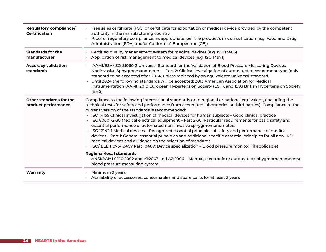| <b>Regulatory compliance/</b><br><b>Certification</b> | Free sales certificate (FSC) or certificate for exportation of medical device provided by the competent<br>authority in the manufacturing country<br>Proof of regulatory compliance, as appropriate, per the product's risk classification (e.g. Food and Drug<br>Administration [FDA] and/or Conformité Européenne [CE])                                                                                                                                                                                                                                                                                                                                                                                                                                                                                                                                                                                                                                  |
|-------------------------------------------------------|------------------------------------------------------------------------------------------------------------------------------------------------------------------------------------------------------------------------------------------------------------------------------------------------------------------------------------------------------------------------------------------------------------------------------------------------------------------------------------------------------------------------------------------------------------------------------------------------------------------------------------------------------------------------------------------------------------------------------------------------------------------------------------------------------------------------------------------------------------------------------------------------------------------------------------------------------------|
| <b>Standards for the</b><br>manufacturer              | Certified quality management system for medical devices (e.g. ISO 13485)<br>$\bullet$<br>Application of risk management to medical devices (e.g. ISO 14971)                                                                                                                                                                                                                                                                                                                                                                                                                                                                                                                                                                                                                                                                                                                                                                                                |
| <b>Accuracy validation</b><br>standards               | AAMI/ESH/ISO 81060-2 Universal Standard for the Validation of Blood Pressure Measuring Devices<br>Noninvasive Sphygmomanometers - Part 2: Clinical investigation of automated measurement type (only<br>standard to be accepted after 2024, unless replaced by an equivalente universal standard.<br>• Until 2024 the following standards will be accepted: 2013 American Association for Medical<br>Instrumentation (AAMI);2010 European Hypertension Society (ESH), and 1993 British Hypertension Society<br>(BHS)                                                                                                                                                                                                                                                                                                                                                                                                                                       |
| Other standards for the<br>product performance        | Compliance to the following international standards or to regional or national equivalent, (including the<br>technical tests for safety and performance from accredited laboratories or third parties). Compliance to the<br>current version of the standards is recommended:<br>· ISO 14155 Clinical investigation of medical devices for human subjects - Good clinical practice<br>· IEC 80601-2-30 Medical electrical equipment - Part 2-30: Particular requirements for basic safety and<br>essential performance of automated non-invasive sphygmomanometers<br>· ISO 16142-1 Medical devices - Recognized essential principles of safety and performance of medical<br>devices - Part 1: General essential principles and additional specific essential principles for all non-IVD<br>medical devices and guidance on the selection of standards<br>ISO/IEEE 11073-10407 Part 10407: Device specialization - Blood pressure monitor (if applicable) |
|                                                       | <b>Regional/local standards</b><br>ANSI/AAMI SP10:2002 and A1:2003 and A2:2006 (Manual, electronic or automated sphygmomanometers)<br>blood pressure measuring system.                                                                                                                                                                                                                                                                                                                                                                                                                                                                                                                                                                                                                                                                                                                                                                                     |
| <b>Warranty</b>                                       | Minimum 2 years<br>Availability of accessories, consumables and spare parts for at least 2 years                                                                                                                                                                                                                                                                                                                                                                                                                                                                                                                                                                                                                                                                                                                                                                                                                                                           |